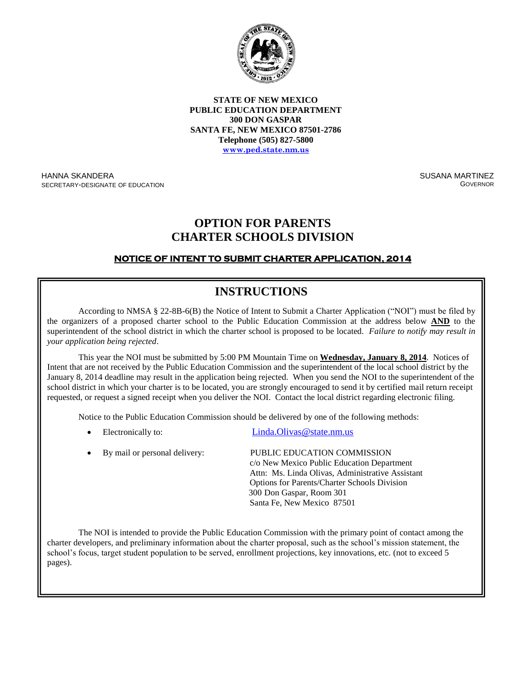

**STATE OF NEW MEXICO PUBLIC EDUCATION DEPARTMENT 300 DON GASPAR SANTA FE, NEW MEXICO 87501-2786 Telephone (505) 827-5800 www.ped.state.nm.us**

HANNA SKANDERA SECRETARY-DESIGNATE OF EDUCATION SUSANA MARTINEZ **GOVERNOR** 

## **OPTION FOR PARENTS CHARTER SCHOOLS DIVISION**

### **NOTICE OF INTENT TO SUBMIT CHARTER APPLICATION, 2014**

# **INSTRUCTIONS**

According to NMSA § 22-8B-6(B) the Notice of Intent to Submit a Charter Application ("NOI") must be filed by the organizers of a proposed charter school to the Public Education Commission at the address below **AND** to the superintendent of the school district in which the charter school is proposed to be located. *Failure to notify may result in your application being rejected*.

This year the NOI must be submitted by 5:00 PM Mountain Time on **Wednesday, January 8, 2014**. Notices of Intent that are not received by the Public Education Commission and the superintendent of the local school district by the January 8, 2014 deadline may result in the application being rejected. When you send the NOI to the superintendent of the school district in which your charter is to be located, you are strongly encouraged to send it by certified mail return receipt requested, or request a signed receipt when you deliver the NOI. Contact the local district regarding electronic filing.

Notice to the Public Education Commission should be delivered by one of the following methods:

Electronically to: Linda.Olivas @state.nm.us

| • By mail or personal delivery: | PUBLIC EDUCATION COMMISSION<br>c/o New Mexico Public Education Department<br>Attn: Ms. Linda Olivas, Administrative Assistant<br><b>Options for Parents/Charter Schools Division</b><br>300 Don Gaspar, Room 301 |
|---------------------------------|------------------------------------------------------------------------------------------------------------------------------------------------------------------------------------------------------------------|
|                                 | Santa Fe, New Mexico 87501                                                                                                                                                                                       |

The NOI is intended to provide the Public Education Commission with the primary point of contact among the charter developers, and preliminary information about the charter proposal, such as the school's mission statement, the school's focus, target student population to be served, enrollment projections, key innovations, etc. (not to exceed 5  $\text{ges}$ ). pages).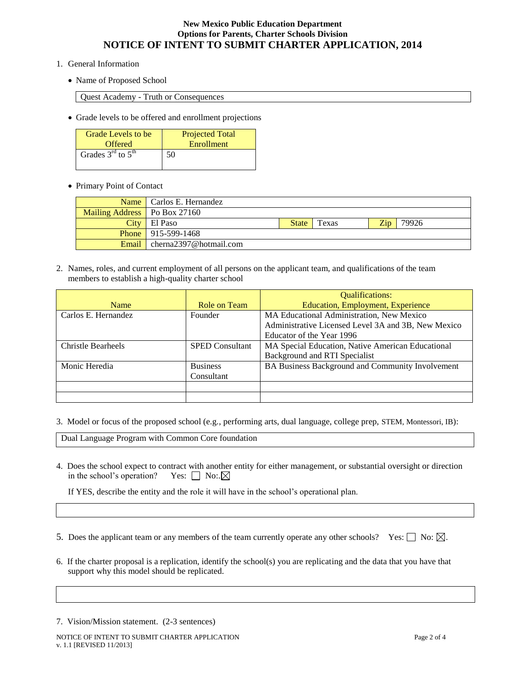#### **New Mexico Public Education Department Options for Parents, Charter Schools Division NOTICE OF INTENT TO SUBMIT CHARTER APPLICATION, 2014**

- 1. General Information
	- Name of Proposed School

Quest Academy - Truth or Consequences

Grade levels to be offered and enrollment projections

| Grade Levels to be    | <b>Projected Total</b> |
|-----------------------|------------------------|
| Offered               | Enrollment             |
| Grades $3rd$ to $5th$ | 50                     |

• Primary Point of Contact

|                                | Name   Carlos E. Hernandez |              |       |      |       |
|--------------------------------|----------------------------|--------------|-------|------|-------|
| Mailing Address   Po Box 27160 |                            |              |       |      |       |
|                                | City El Paso               | <b>State</b> | Texas | Zip. | 79926 |
|                                | <b>Phone</b> 915-599-1468  |              |       |      |       |
| Email                          | cherna2397@hotmail.com     |              |       |      |       |

2. Names, roles, and current employment of all persons on the applicant team, and qualifications of the team members to establish a high-quality charter school

|                           |                        | <b>Qualifications:</b>                              |  |
|---------------------------|------------------------|-----------------------------------------------------|--|
| Name                      | Role on Team           | <b>Education, Employment, Experience</b>            |  |
| Carlos E. Hernandez       | Founder                | MA Educational Administration, New Mexico           |  |
|                           |                        | Administrative Licensed Level 3A and 3B, New Mexico |  |
|                           |                        | Educator of the Year 1996                           |  |
| <b>Christle Bearheels</b> | <b>SPED Consultant</b> | MA Special Education, Native American Educational   |  |
|                           |                        | Background and RTI Specialist                       |  |
| Monic Heredia             | <b>Business</b>        | BA Business Background and Community Involvement    |  |
|                           | Consultant             |                                                     |  |
|                           |                        |                                                     |  |
|                           |                        |                                                     |  |

3. Model or focus of the proposed school (e.g., performing arts, dual language, college prep, STEM, Montessori, IB):

Dual Language Program with Common Core foundation

4. Does the school expect to contract with another entity for either management, or substantial oversight or direction in the school's operation? Yes:  $\Box$  No:  $\Box$ in the school's operation?

If YES, describe the entity and the role it will have in the school's operational plan.

5. Does the applicant team or any members of the team currently operate any other schools? Yes:  $\Box$  No:  $\boxtimes$ .

6. If the charter proposal is a replication, identify the school(s) you are replicating and the data that you have that support why this model should be replicated.

7. Vision/Mission statement. (2-3 sentences)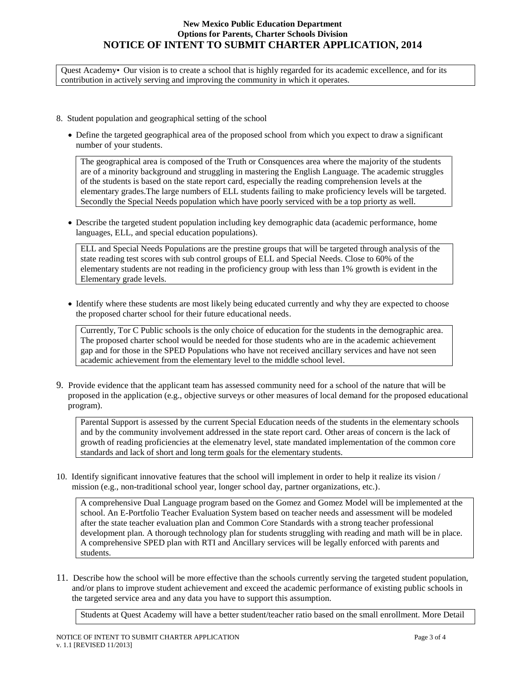#### **New Mexico Public Education Department Options for Parents, Charter Schools Division NOTICE OF INTENT TO SUBMIT CHARTER APPLICATION, 2014**

Quest Academy• Our vision is to create a school that is highly regarded for its academic excellence, and for its contribution in actively serving and improving the community in which it operates.

- 8. Student population and geographical setting of the school
	- Define the targeted geographical area of the proposed school from which you expect to draw a significant number of your students.

The geographical area is composed of the Truth or Consquences area where the majority of the students are of a minority background and struggling in mastering the English Language. The academic struggles of the students is based on the state report card, especially the reading comprehension levels at the elementary grades.The large numbers of ELL students failing to make proficiency levels will be targeted. Secondly the Special Needs population which have poorly serviced with be a top priorty as well.

 Describe the targeted student population including key demographic data (academic performance, home languages, ELL, and special education populations).

ELL and Special Needs Populations are the prestine groups that will be targeted through analysis of the state reading test scores with sub control groups of ELL and Special Needs. Close to 60% of the elementary students are not reading in the proficiency group with less than 1% growth is evident in the Elementary grade levels.

 Identify where these students are most likely being educated currently and why they are expected to choose the proposed charter school for their future educational needs.

Currently, Tor C Public schools is the only choice of education for the students in the demographic area. The proposed charter school would be needed for those students who are in the academic achievement gap and for those in the SPED Populations who have not received ancillary services and have not seen academic achievement from the elementary level to the middle school level.

9. Provide evidence that the applicant team has assessed community need for a school of the nature that will be proposed in the application (e.g., objective surveys or other measures of local demand for the proposed educational program).

Parental Support is assessed by the current Special Education needs of the students in the elementary schools and by the community involvement addressed in the state report card. Other areas of concern is the lack of growth of reading proficiencies at the elemenatry level, state mandated implementation of the common core standards and lack of short and long term goals for the elementary students.

10. Identify significant innovative features that the school will implement in order to help it realize its vision / mission (e.g., non-traditional school year, longer school day, partner organizations, etc.).

A comprehensive Dual Language program based on the Gomez and Gomez Model will be implemented at the school. An E-Portfolio Teacher Evaluation System based on teacher needs and assessment will be modeled after the state teacher evaluation plan and Common Core Standards with a strong teacher professional development plan. A thorough technology plan for students struggling with reading and math will be in place. A comprehensive SPED plan with RTI and Ancillary services will be legally enforced with parents and students.

11. Describe how the school will be more effective than the schools currently serving the targeted student population, and/or plans to improve student achievement and exceed the academic performance of existing public schools in the targeted service area and any data you have to support this assumption.

Students at Quest Academy will have a better student/teacher ratio based on the small enrollment. More Detail